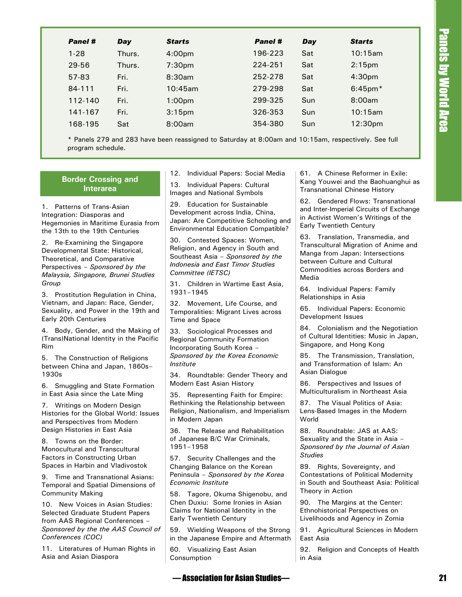| 10:15am<br>196-223<br>$1 - 28$<br>Thurs.<br>Sat<br>4:00pm<br>224-251<br>2:15 <sub>pm</sub><br>29-56<br>Thurs.<br>7:30 <sub>pm</sub><br>Sat<br>Fri.<br>8:30am<br>252-278<br>Sat<br>4:30pm<br>57-83<br>Fri.<br>279-298<br>$6:45$ pm $*$<br>84-111<br>10:45am<br>Sat<br>8:00am<br>Fri.<br>299-325<br>Sun<br>112-140<br>1:00 <sub>pm</sub><br>10:15am<br>326-353<br>Sun<br>141-167<br>Fri.<br>3:15 <sub>pm</sub><br>354-380<br>Sun<br>12:30pm<br>168-195<br>Sat<br>8:00am<br>* Panels 279 and 283 have been reassigned to Saturday at 8:00am and 10:15am, respectively. See full<br>program schedule.<br>61. A Chinese Reformer in Exile:<br>12. Individual Papers: Social Media<br><b>Border Crossing and</b><br>Kang Youwei and the Baohuanghui as<br>13. Individual Papers: Cultural<br><b>Interarea</b><br><b>Transnational Chinese History</b><br>Images and National Symbols<br>62. Gendered Flows: Transnational<br>29. Education for Sustainable<br>Patterns of Trans-Asian<br>and Inter-Imperial Circuits of Exchange<br>Development across India, China,<br>tegration: Diasporas and<br>in Activist Women's Writings of the<br>Japan: Are Competitive Schooling and<br>egemonies in Maritime Eurasia from<br><b>Early Twentieth Century</b><br><b>Environmental Education Compatible?</b><br>e 13th to the 19th Centuries<br>63. Translation, Transmedia, and<br>30. Contested Spaces: Women,<br>Re-Examining the Singapore<br>Transcultural Migration of Anime and<br>Religion, and Agency in South and<br>evelopmental State: Historical,<br>Manga from Japan: Intersections<br>Southeast Asia - Sponsored by the<br>neoretical, and Comparative<br>between Culture and Cultural<br><b>Indonesia and East Timor Studies</b><br>erspectives - Sponsored by the<br>Commodities across Borders and<br>Committee (IETSC)<br>alaysia, Singapore, Brunei Studies<br>Media<br>oup<br>31. Children in Wartime East Asia,<br>64. Individual Papers: Family<br>1931-1945<br>Prostitution Regulation in China,<br>Relationships in Asia<br>etnam, and Japan: Race, Gender,<br>32. Movement, Life Course, and<br>65. Individual Papers: Economic<br>exuality, and Power in the 19th and<br>Temporalities: Migrant Lives across<br>Development Issues<br><b>Irly 20th Centuries</b><br>Time and Space<br>84. Colonialism and the Negotiation<br>Body, Gender, and the Making of<br>33. Sociological Processes and<br>of Cultural Identities: Music in Japan,<br>rans) National Identity in the Pacific<br><b>Regional Community Formation</b><br>Singapore, and Hong Kong<br>Incorporating South Korea -<br>m<br>Sponsored by the Korea Economic<br>85. The Transmission, Translation,<br>The Construction of Religions<br>and Transformation of Islam: An<br>Institute<br>tween China and Japan, 1860s–<br>Asian Dialogue<br>30s<br>34. Roundtable: Gender Theory and<br>Modern East Asian History<br>86. Perspectives and Issues of<br>Smuggling and State Formation<br>Multiculturalism in Northeast Asia<br>East Asia since the Late Ming<br>35. Representing Faith for Empire:<br>Rethinking the Relationship between<br>87. The Visual Politics of Asia:<br>Writings on Modern Design<br>Religion, Nationalism, and Imperialism<br>Lens-Based Images in the Modern<br>stories for the Global World: Issues<br>World<br>in Modern Japan<br>d Perspectives from Modern<br>esign Histories in East Asia<br>88. Roundtable: JAS at AAS:<br>36. The Release and Rehabilitation<br>Sexuality and the State in Asia -<br>of Japanese B/C War Criminals,<br>Towns on the Border:<br>1951-1958<br>Sponsored by the Journal of Asian<br>onocultural and Transcultural<br><b>Studies</b><br>ctors in Constructing Urban<br>57. Security Challenges and the<br>paces in Harbin and Vladivostok<br>Changing Balance on the Korean<br>89. Rights, Sovereignty, and<br>Peninsula - Sponsored by the Korea<br><b>Contestations of Political Modernity</b><br>Time and Transnational Asians:<br>Economic Institute<br>in South and Southeast Asia: Political<br>emporal and Spatial Dimensions of<br>Theory in Action<br>ommunity Making<br>58. Tagore, Okuma Shigenobu, and<br>Chen Duxiu: Some Ironies in Asian<br>90. The Margins at the Center:<br>).   New Voices in Asian Studies:<br>Claims for National Identity in the<br>Ethnohistorical Perspectives on<br>elected Graduate Student Papers<br><b>Early Twentieth Century</b><br>Livelihoods and Agency in Zomia<br>om AAS Regional Conferences –<br>onsored by the the AAS Council of<br>59. Wielding Weapons of the Strong<br>91. Agricultural Sciences in Modern<br>onferences (COC)<br>in the Japanese Empire and Aftermath<br>East Asia<br>1. Literatures of Human Rights in<br>60. Visualizing East Asian<br>92. Religion and Concepts of Health | <b>Panel #</b><br>Day  | <b>Starts</b> | Panel # | Day     | <b>Starts</b> |  |
|--------------------------------------------------------------------------------------------------------------------------------------------------------------------------------------------------------------------------------------------------------------------------------------------------------------------------------------------------------------------------------------------------------------------------------------------------------------------------------------------------------------------------------------------------------------------------------------------------------------------------------------------------------------------------------------------------------------------------------------------------------------------------------------------------------------------------------------------------------------------------------------------------------------------------------------------------------------------------------------------------------------------------------------------------------------------------------------------------------------------------------------------------------------------------------------------------------------------------------------------------------------------------------------------------------------------------------------------------------------------------------------------------------------------------------------------------------------------------------------------------------------------------------------------------------------------------------------------------------------------------------------------------------------------------------------------------------------------------------------------------------------------------------------------------------------------------------------------------------------------------------------------------------------------------------------------------------------------------------------------------------------------------------------------------------------------------------------------------------------------------------------------------------------------------------------------------------------------------------------------------------------------------------------------------------------------------------------------------------------------------------------------------------------------------------------------------------------------------------------------------------------------------------------------------------------------------------------------------------------------------------------------------------------------------------------------------------------------------------------------------------------------------------------------------------------------------------------------------------------------------------------------------------------------------------------------------------------------------------------------------------------------------------------------------------------------------------------------------------------------------------------------------------------------------------------------------------------------------------------------------------------------------------------------------------------------------------------------------------------------------------------------------------------------------------------------------------------------------------------------------------------------------------------------------------------------------------------------------------------------------------------------------------------------------------------------------------------------------------------------------------------------------------------------------------------------------------------------------------------------------------------------------------------------------------------------------------------------------------------------------------------------------------------------------------------------------------------------------------------------------------------------------------------------------------------------------------------------------------------------------------------------------------------------------------------------------------------------------------------------------------------------------------------------------------------------------------------------------------------------------------------------------------------------------------------------------------------------------------------------------------------------------------------------------------------------------------------------------------------------------------------------------------------------------|------------------------|---------------|---------|---------|---------------|--|
|                                                                                                                                                                                                                                                                                                                                                                                                                                                                                                                                                                                                                                                                                                                                                                                                                                                                                                                                                                                                                                                                                                                                                                                                                                                                                                                                                                                                                                                                                                                                                                                                                                                                                                                                                                                                                                                                                                                                                                                                                                                                                                                                                                                                                                                                                                                                                                                                                                                                                                                                                                                                                                                                                                                                                                                                                                                                                                                                                                                                                                                                                                                                                                                                                                                                                                                                                                                                                                                                                                                                                                                                                                                                                                                                                                                                                                                                                                                                                                                                                                                                                                                                                                                                                                                                                                                                                                                                                                                                                                                                                                                                                                                                                                                                                                                                  |                        |               |         |         |               |  |
|                                                                                                                                                                                                                                                                                                                                                                                                                                                                                                                                                                                                                                                                                                                                                                                                                                                                                                                                                                                                                                                                                                                                                                                                                                                                                                                                                                                                                                                                                                                                                                                                                                                                                                                                                                                                                                                                                                                                                                                                                                                                                                                                                                                                                                                                                                                                                                                                                                                                                                                                                                                                                                                                                                                                                                                                                                                                                                                                                                                                                                                                                                                                                                                                                                                                                                                                                                                                                                                                                                                                                                                                                                                                                                                                                                                                                                                                                                                                                                                                                                                                                                                                                                                                                                                                                                                                                                                                                                                                                                                                                                                                                                                                                                                                                                                                  |                        |               |         |         |               |  |
|                                                                                                                                                                                                                                                                                                                                                                                                                                                                                                                                                                                                                                                                                                                                                                                                                                                                                                                                                                                                                                                                                                                                                                                                                                                                                                                                                                                                                                                                                                                                                                                                                                                                                                                                                                                                                                                                                                                                                                                                                                                                                                                                                                                                                                                                                                                                                                                                                                                                                                                                                                                                                                                                                                                                                                                                                                                                                                                                                                                                                                                                                                                                                                                                                                                                                                                                                                                                                                                                                                                                                                                                                                                                                                                                                                                                                                                                                                                                                                                                                                                                                                                                                                                                                                                                                                                                                                                                                                                                                                                                                                                                                                                                                                                                                                                                  |                        |               |         |         |               |  |
|                                                                                                                                                                                                                                                                                                                                                                                                                                                                                                                                                                                                                                                                                                                                                                                                                                                                                                                                                                                                                                                                                                                                                                                                                                                                                                                                                                                                                                                                                                                                                                                                                                                                                                                                                                                                                                                                                                                                                                                                                                                                                                                                                                                                                                                                                                                                                                                                                                                                                                                                                                                                                                                                                                                                                                                                                                                                                                                                                                                                                                                                                                                                                                                                                                                                                                                                                                                                                                                                                                                                                                                                                                                                                                                                                                                                                                                                                                                                                                                                                                                                                                                                                                                                                                                                                                                                                                                                                                                                                                                                                                                                                                                                                                                                                                                                  |                        |               |         |         |               |  |
|                                                                                                                                                                                                                                                                                                                                                                                                                                                                                                                                                                                                                                                                                                                                                                                                                                                                                                                                                                                                                                                                                                                                                                                                                                                                                                                                                                                                                                                                                                                                                                                                                                                                                                                                                                                                                                                                                                                                                                                                                                                                                                                                                                                                                                                                                                                                                                                                                                                                                                                                                                                                                                                                                                                                                                                                                                                                                                                                                                                                                                                                                                                                                                                                                                                                                                                                                                                                                                                                                                                                                                                                                                                                                                                                                                                                                                                                                                                                                                                                                                                                                                                                                                                                                                                                                                                                                                                                                                                                                                                                                                                                                                                                                                                                                                                                  |                        |               |         |         |               |  |
|                                                                                                                                                                                                                                                                                                                                                                                                                                                                                                                                                                                                                                                                                                                                                                                                                                                                                                                                                                                                                                                                                                                                                                                                                                                                                                                                                                                                                                                                                                                                                                                                                                                                                                                                                                                                                                                                                                                                                                                                                                                                                                                                                                                                                                                                                                                                                                                                                                                                                                                                                                                                                                                                                                                                                                                                                                                                                                                                                                                                                                                                                                                                                                                                                                                                                                                                                                                                                                                                                                                                                                                                                                                                                                                                                                                                                                                                                                                                                                                                                                                                                                                                                                                                                                                                                                                                                                                                                                                                                                                                                                                                                                                                                                                                                                                                  |                        |               |         |         |               |  |
|                                                                                                                                                                                                                                                                                                                                                                                                                                                                                                                                                                                                                                                                                                                                                                                                                                                                                                                                                                                                                                                                                                                                                                                                                                                                                                                                                                                                                                                                                                                                                                                                                                                                                                                                                                                                                                                                                                                                                                                                                                                                                                                                                                                                                                                                                                                                                                                                                                                                                                                                                                                                                                                                                                                                                                                                                                                                                                                                                                                                                                                                                                                                                                                                                                                                                                                                                                                                                                                                                                                                                                                                                                                                                                                                                                                                                                                                                                                                                                                                                                                                                                                                                                                                                                                                                                                                                                                                                                                                                                                                                                                                                                                                                                                                                                                                  |                        |               |         |         |               |  |
|                                                                                                                                                                                                                                                                                                                                                                                                                                                                                                                                                                                                                                                                                                                                                                                                                                                                                                                                                                                                                                                                                                                                                                                                                                                                                                                                                                                                                                                                                                                                                                                                                                                                                                                                                                                                                                                                                                                                                                                                                                                                                                                                                                                                                                                                                                                                                                                                                                                                                                                                                                                                                                                                                                                                                                                                                                                                                                                                                                                                                                                                                                                                                                                                                                                                                                                                                                                                                                                                                                                                                                                                                                                                                                                                                                                                                                                                                                                                                                                                                                                                                                                                                                                                                                                                                                                                                                                                                                                                                                                                                                                                                                                                                                                                                                                                  |                        |               |         |         |               |  |
|                                                                                                                                                                                                                                                                                                                                                                                                                                                                                                                                                                                                                                                                                                                                                                                                                                                                                                                                                                                                                                                                                                                                                                                                                                                                                                                                                                                                                                                                                                                                                                                                                                                                                                                                                                                                                                                                                                                                                                                                                                                                                                                                                                                                                                                                                                                                                                                                                                                                                                                                                                                                                                                                                                                                                                                                                                                                                                                                                                                                                                                                                                                                                                                                                                                                                                                                                                                                                                                                                                                                                                                                                                                                                                                                                                                                                                                                                                                                                                                                                                                                                                                                                                                                                                                                                                                                                                                                                                                                                                                                                                                                                                                                                                                                                                                                  |                        |               |         |         |               |  |
|                                                                                                                                                                                                                                                                                                                                                                                                                                                                                                                                                                                                                                                                                                                                                                                                                                                                                                                                                                                                                                                                                                                                                                                                                                                                                                                                                                                                                                                                                                                                                                                                                                                                                                                                                                                                                                                                                                                                                                                                                                                                                                                                                                                                                                                                                                                                                                                                                                                                                                                                                                                                                                                                                                                                                                                                                                                                                                                                                                                                                                                                                                                                                                                                                                                                                                                                                                                                                                                                                                                                                                                                                                                                                                                                                                                                                                                                                                                                                                                                                                                                                                                                                                                                                                                                                                                                                                                                                                                                                                                                                                                                                                                                                                                                                                                                  |                        |               |         |         |               |  |
|                                                                                                                                                                                                                                                                                                                                                                                                                                                                                                                                                                                                                                                                                                                                                                                                                                                                                                                                                                                                                                                                                                                                                                                                                                                                                                                                                                                                                                                                                                                                                                                                                                                                                                                                                                                                                                                                                                                                                                                                                                                                                                                                                                                                                                                                                                                                                                                                                                                                                                                                                                                                                                                                                                                                                                                                                                                                                                                                                                                                                                                                                                                                                                                                                                                                                                                                                                                                                                                                                                                                                                                                                                                                                                                                                                                                                                                                                                                                                                                                                                                                                                                                                                                                                                                                                                                                                                                                                                                                                                                                                                                                                                                                                                                                                                                                  |                        |               |         |         |               |  |
|                                                                                                                                                                                                                                                                                                                                                                                                                                                                                                                                                                                                                                                                                                                                                                                                                                                                                                                                                                                                                                                                                                                                                                                                                                                                                                                                                                                                                                                                                                                                                                                                                                                                                                                                                                                                                                                                                                                                                                                                                                                                                                                                                                                                                                                                                                                                                                                                                                                                                                                                                                                                                                                                                                                                                                                                                                                                                                                                                                                                                                                                                                                                                                                                                                                                                                                                                                                                                                                                                                                                                                                                                                                                                                                                                                                                                                                                                                                                                                                                                                                                                                                                                                                                                                                                                                                                                                                                                                                                                                                                                                                                                                                                                                                                                                                                  |                        |               |         |         |               |  |
|                                                                                                                                                                                                                                                                                                                                                                                                                                                                                                                                                                                                                                                                                                                                                                                                                                                                                                                                                                                                                                                                                                                                                                                                                                                                                                                                                                                                                                                                                                                                                                                                                                                                                                                                                                                                                                                                                                                                                                                                                                                                                                                                                                                                                                                                                                                                                                                                                                                                                                                                                                                                                                                                                                                                                                                                                                                                                                                                                                                                                                                                                                                                                                                                                                                                                                                                                                                                                                                                                                                                                                                                                                                                                                                                                                                                                                                                                                                                                                                                                                                                                                                                                                                                                                                                                                                                                                                                                                                                                                                                                                                                                                                                                                                                                                                                  |                        |               |         |         |               |  |
|                                                                                                                                                                                                                                                                                                                                                                                                                                                                                                                                                                                                                                                                                                                                                                                                                                                                                                                                                                                                                                                                                                                                                                                                                                                                                                                                                                                                                                                                                                                                                                                                                                                                                                                                                                                                                                                                                                                                                                                                                                                                                                                                                                                                                                                                                                                                                                                                                                                                                                                                                                                                                                                                                                                                                                                                                                                                                                                                                                                                                                                                                                                                                                                                                                                                                                                                                                                                                                                                                                                                                                                                                                                                                                                                                                                                                                                                                                                                                                                                                                                                                                                                                                                                                                                                                                                                                                                                                                                                                                                                                                                                                                                                                                                                                                                                  |                        |               |         |         |               |  |
|                                                                                                                                                                                                                                                                                                                                                                                                                                                                                                                                                                                                                                                                                                                                                                                                                                                                                                                                                                                                                                                                                                                                                                                                                                                                                                                                                                                                                                                                                                                                                                                                                                                                                                                                                                                                                                                                                                                                                                                                                                                                                                                                                                                                                                                                                                                                                                                                                                                                                                                                                                                                                                                                                                                                                                                                                                                                                                                                                                                                                                                                                                                                                                                                                                                                                                                                                                                                                                                                                                                                                                                                                                                                                                                                                                                                                                                                                                                                                                                                                                                                                                                                                                                                                                                                                                                                                                                                                                                                                                                                                                                                                                                                                                                                                                                                  |                        |               |         |         |               |  |
|                                                                                                                                                                                                                                                                                                                                                                                                                                                                                                                                                                                                                                                                                                                                                                                                                                                                                                                                                                                                                                                                                                                                                                                                                                                                                                                                                                                                                                                                                                                                                                                                                                                                                                                                                                                                                                                                                                                                                                                                                                                                                                                                                                                                                                                                                                                                                                                                                                                                                                                                                                                                                                                                                                                                                                                                                                                                                                                                                                                                                                                                                                                                                                                                                                                                                                                                                                                                                                                                                                                                                                                                                                                                                                                                                                                                                                                                                                                                                                                                                                                                                                                                                                                                                                                                                                                                                                                                                                                                                                                                                                                                                                                                                                                                                                                                  |                        |               |         |         |               |  |
|                                                                                                                                                                                                                                                                                                                                                                                                                                                                                                                                                                                                                                                                                                                                                                                                                                                                                                                                                                                                                                                                                                                                                                                                                                                                                                                                                                                                                                                                                                                                                                                                                                                                                                                                                                                                                                                                                                                                                                                                                                                                                                                                                                                                                                                                                                                                                                                                                                                                                                                                                                                                                                                                                                                                                                                                                                                                                                                                                                                                                                                                                                                                                                                                                                                                                                                                                                                                                                                                                                                                                                                                                                                                                                                                                                                                                                                                                                                                                                                                                                                                                                                                                                                                                                                                                                                                                                                                                                                                                                                                                                                                                                                                                                                                                                                                  |                        |               |         |         |               |  |
|                                                                                                                                                                                                                                                                                                                                                                                                                                                                                                                                                                                                                                                                                                                                                                                                                                                                                                                                                                                                                                                                                                                                                                                                                                                                                                                                                                                                                                                                                                                                                                                                                                                                                                                                                                                                                                                                                                                                                                                                                                                                                                                                                                                                                                                                                                                                                                                                                                                                                                                                                                                                                                                                                                                                                                                                                                                                                                                                                                                                                                                                                                                                                                                                                                                                                                                                                                                                                                                                                                                                                                                                                                                                                                                                                                                                                                                                                                                                                                                                                                                                                                                                                                                                                                                                                                                                                                                                                                                                                                                                                                                                                                                                                                                                                                                                  |                        |               |         |         |               |  |
|                                                                                                                                                                                                                                                                                                                                                                                                                                                                                                                                                                                                                                                                                                                                                                                                                                                                                                                                                                                                                                                                                                                                                                                                                                                                                                                                                                                                                                                                                                                                                                                                                                                                                                                                                                                                                                                                                                                                                                                                                                                                                                                                                                                                                                                                                                                                                                                                                                                                                                                                                                                                                                                                                                                                                                                                                                                                                                                                                                                                                                                                                                                                                                                                                                                                                                                                                                                                                                                                                                                                                                                                                                                                                                                                                                                                                                                                                                                                                                                                                                                                                                                                                                                                                                                                                                                                                                                                                                                                                                                                                                                                                                                                                                                                                                                                  |                        |               |         |         |               |  |
|                                                                                                                                                                                                                                                                                                                                                                                                                                                                                                                                                                                                                                                                                                                                                                                                                                                                                                                                                                                                                                                                                                                                                                                                                                                                                                                                                                                                                                                                                                                                                                                                                                                                                                                                                                                                                                                                                                                                                                                                                                                                                                                                                                                                                                                                                                                                                                                                                                                                                                                                                                                                                                                                                                                                                                                                                                                                                                                                                                                                                                                                                                                                                                                                                                                                                                                                                                                                                                                                                                                                                                                                                                                                                                                                                                                                                                                                                                                                                                                                                                                                                                                                                                                                                                                                                                                                                                                                                                                                                                                                                                                                                                                                                                                                                                                                  |                        |               |         |         |               |  |
|                                                                                                                                                                                                                                                                                                                                                                                                                                                                                                                                                                                                                                                                                                                                                                                                                                                                                                                                                                                                                                                                                                                                                                                                                                                                                                                                                                                                                                                                                                                                                                                                                                                                                                                                                                                                                                                                                                                                                                                                                                                                                                                                                                                                                                                                                                                                                                                                                                                                                                                                                                                                                                                                                                                                                                                                                                                                                                                                                                                                                                                                                                                                                                                                                                                                                                                                                                                                                                                                                                                                                                                                                                                                                                                                                                                                                                                                                                                                                                                                                                                                                                                                                                                                                                                                                                                                                                                                                                                                                                                                                                                                                                                                                                                                                                                                  |                        |               |         |         |               |  |
|                                                                                                                                                                                                                                                                                                                                                                                                                                                                                                                                                                                                                                                                                                                                                                                                                                                                                                                                                                                                                                                                                                                                                                                                                                                                                                                                                                                                                                                                                                                                                                                                                                                                                                                                                                                                                                                                                                                                                                                                                                                                                                                                                                                                                                                                                                                                                                                                                                                                                                                                                                                                                                                                                                                                                                                                                                                                                                                                                                                                                                                                                                                                                                                                                                                                                                                                                                                                                                                                                                                                                                                                                                                                                                                                                                                                                                                                                                                                                                                                                                                                                                                                                                                                                                                                                                                                                                                                                                                                                                                                                                                                                                                                                                                                                                                                  | sia and Asian Diaspora | Consumption   |         | in Asia |               |  |

## **Border Crossing and Interarea**

1. Patterns of Trans-Asian Integration: Diasporas and Hegemonies in Maritime Eurasia from the 13th to the 19th Centuries

2. Re-Examining the Singapore Developmental State: Historical, Theoretical, and Comparative Perspectives – *Sponsored by the Malaysia, Singapore, Brunei Studies Group*

3. Prostitution Regulation in China, Vietnam, and Japan: Race, Gender, Sexuality, and Power in the 19th and Early 20th Centuries

4. Body, Gender, and the Making of (Trans)National Identity in the Pacific Rim

5. The Construction of Religions between China and Japan, 1860s– 1930s

6. Smuggling and State Formation in East Asia since the Late Ming

7. Writings on Modern Design Histories for the Global World: Issues and Perspectives from Modern Design Histories in East Asia

8. Towns on the Border: Monocultural and Transcultural Factors in Constructing Urban Spaces in Harbin and Vladivostok

9. Time and Transnational Asians: Temporal and Spatial Dimensions of Community Making

10. New Voices in Asian Studies: Selected Graduate Student Papers from AAS Regional Conferences – *Sponsored by the the AAS Council of Conferences (COC)*

11. Literatures of Human Rights in Asia and Asian Diaspora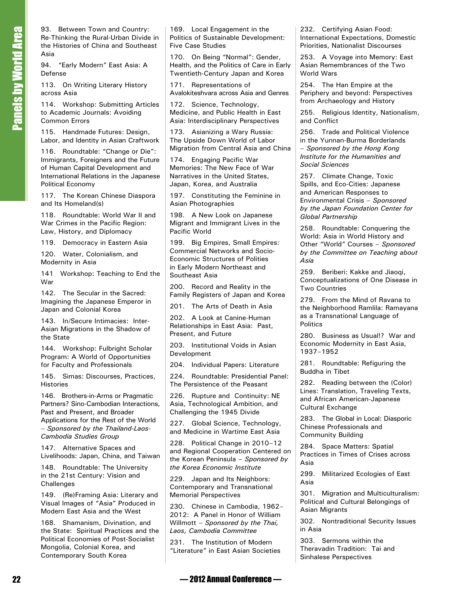93. Between Town and Country: Re-Thinking the Rural-Urban Divide in the Histories of China and Southeast Asia

94. "Early Modern" East Asia: A Defense

113. On Writing Literary History across Asia

114. Workshop: Submitting Articles to Academic Journals: Avoiding Common Errors

115. Handmade Futures: Design, Labor, and Identity in Asian Craftwork

116. Roundtable: "Change or Die": Immigrants, Foreigners and the Future of Human Capital Development and International Relations in the Japanese Political Economy

117. The Korean Chinese Diaspora and Its Homeland(s)

118. Roundtable: World War II and War Crimes in the Pacific Region: Law, History, and Diplomacy

119. Democracy in Eastern Asia

120. Water, Colonialism, and Modernity in Asia

141 Workshop: Teaching to End the War

142. The Secular in the Sacred: Imagining the Japanese Emperor in Japan and Colonial Korea

143. In/Secure Intimacies: Inter-Asian Migrations in the Shadow of the State

144. Workshop: Fulbright Scholar Program: A World of Opportunities for Faculty and Professionals

145. Simas: Discourses, Practices, **Histories** 

146. Brothers-in-Arms or Pragmatic Partners? Sino-Cambodian Interactions, Past and Present, and Broader Applications for the Rest of the World – *Sponsored by the Thailand-Laos-Cambodia Studies Group*

147. Alternative Spaces and Livelihoods: Japan, China, and Taiwan

148. Roundtable: The University in the 21st Century: Vision and **Challenges** 

149. (Re)Framing Asia: Literary and Visual Images of "Asia" Produced in Modern East Asia and the West

168. Shamanism, Divination, and the State: Spiritual Practices and the Political Economies of Post-Socialist Mongolia, Colonial Korea, and Contemporary South Korea

169. Local Engagement in the Politics of Sustainable Development: Five Case Studies

170. On Being "Normal": Gender, Health, and the Politics of Care in Early Twentieth-Century Japan and Korea

171. Representations of Avalokiteshvara across Asia and Genres

172. Science, Technology, Medicine, and Public Health in East Asia: Interdisciplinary Perspectives

173. Asianizing a Wary Russia: The Upside Down World of Labor Migration from Central Asia and China

174. Engaging Pacific War Memories: The New Face of War Narratives in the United States, Japan, Korea, and Australia

197. Constituting the Feminine in Asian Photographies

198. A New Look on Japanese Migrant and Immigrant Lives in the Pacific World

199. Big Empires, Small Empires: Commercial Networks and Socio-Economic Structures of Polities in Early Modern Northeast and Southeast Asia

200. Record and Reality in the Family Registers of Japan and Korea

201. The Arts of Death in Asia

202. A Look at Canine-Human Relationships in East Asia: Past, Present, and Future

203. Institutional Voids in Asian Development

204. Individual Papers: Literature

224. Roundtable: Presidential Panel: The Persistence of the Peasant

226. Rupture and Continuity: NE Asia, Technological Ambition, and Challenging the 1945 Divide

227. Global Science, Technology, and Medicine in Wartime East Asia

228. Political Change in 2010–12 and Regional Cooperation Centered on the Korean Peninsula – *Sponsored by the Korea Economic Institute*

229. Japan and Its Neighbors: Contemporary and Transnational Memorial Perspectives

230. Chinese in Cambodia, 1962– 2012: A Panel in Honor of William Willmott – *Sponsored by the Thai, Laos, Cambodia Committee*

231. The Institution of Modern "Literature" in East Asian Societies 232. Certifying Asian Food: International Expectations, Domestic Priorities, Nationalist Discourses

253. A Voyage into Memory: East Asian Remembrances of the Two World Wars

254. The Han Empire at the Periphery and beyond: Perspectives from Archaeology and History

255. Religious Identity, Nationalism, and Conflict

256. Trade and Political Violence in the Yunnan-Burma Borderlands – *Sponsored by the Hong Kong Institute for the Humanities and Social Sciences*

257. Climate Change, Toxic Spills, and Eco-Cities: Japanese and American Responses to Environmental Crisis – *Sponsored by the Japan Foundation Center for Global Partnership*

258. Roundtable: Conquering the World: Asia in World History and Other "World" Courses – *Sponsored by the Committee on Teaching about Asia*

259. Beriberi: Kakke and Jiaoqi, Conceptualizations of One Disease in Two Countries

279. From the Mind of Ravana to the Neighborhood Ramlila: Ramayana as a Transnational Language of **Politics** 

280. Business as Usual!? War and Economic Modernity in East Asia, 1937–1952

281. Roundtable: Refiguring the Buddha in Tibet

282. Reading between the (Color) Lines: Translation, Traveling Texts, and African American-Japanese Cultural Exchange

283. The Global in Local: Diasporic Chinese Professionals and Community Building

284. Space Matters: Spatial Practices in Times of Crises across Asia

299. Militarized Ecologies of East Asia

301. Migration and Multiculturalism: Political and Cultural Belongings of Asian Migrants

302. Nontraditional Security Issues in Asia

303. Sermons within the Theravadin Tradition: Tai and Sinhalese Perspectives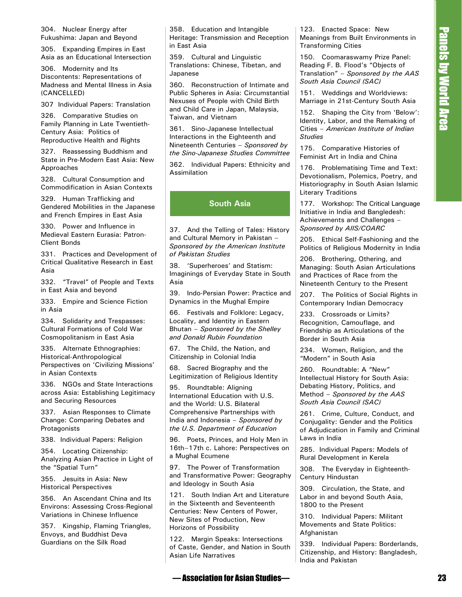304. Nuclear Energy after Fukushima: Japan and Beyond

305. Expanding Empires in East Asia as an Educational Intersection

306. Modernity and Its Discontents: Representations of Madness and Mental Illness in Asia (CANCELLED)

307 Individual Papers: Translation

326. Comparative Studies on Family Planning in Late Twentieth-Century Asia: Politics of Reproductive Health and Rights

327. Reassessing Buddhism and State in Pre-Modern East Asia: New Approaches

328. Cultural Consumption and Commodification in Asian Contexts

329. Human Trafficking and Gendered Mobilities in the Japanese and French Empires in East Asia

330. Power and Influence in Medieval Eastern Eurasia: Patron-Client Bonds

331. Practices and Development of Critical Qualitative Research in East Asia

332. "Travel" of People and Texts in East Asia and beyond

333. Empire and Science Fiction in Asia

334. Solidarity and Trespasses: Cultural Formations of Cold War Cosmopolitanism in East Asia

335. Alternate Ethnographies: Historical-Anthropological Perspectives on 'Civilizing Missions' in Asian Contexts

336. NGOs and State Interactions across Asia: Establishing Legitimacy and Securing Resources

337. Asian Responses to Climate Change: Comparing Debates and Protagonists

338. Individual Papers: Religion

354. Locating Citizenship: Analyzing Asian Practice in Light of the "Spatial Turn"

355. Jesuits in Asia: New Historical Perspectives

356. An Ascendant China and Its Environs: Assessing Cross-Regional Variations in Chinese Influence

357. Kingship, Flaming Triangles, Envoys, and Buddhist Deva Guardians on the Silk Road

358. Education and Intangible Heritage: Transmission and Reception in East Asia

359. Cultural and Linguistic Translations: Chinese, Tibetan, and Japanese

360. Reconstruction of Intimate and Public Spheres in Asia: Circumstantial Nexuses of People with Child Birth and Child Care in Japan, Malaysia, Taiwan, and Vietnam

361. Sino-Japanese Intellectual Interactions in the Eighteenth and Nineteenth Centuries – *Sponsored by the Sino-Japanese Studies Committee*

362. Individual Papers: Ethnicity and Assimilation

# **South Asia**

37. And the Telling of Tales: History and Cultural Memory in Pakistan – *Sponsored by the American Institute of Pakistan Studies*

38. 'Superheroes' and Statism: Imaginings of Everyday State in South Asia

39. Indo-Persian Power: Practice and Dynamics in the Mughal Empire

66. Festivals and Folklore: Legacy, Locality, and Identity in Eastern Bhutan – *Sponsored by the Shelley and Donald Rubin Foundation*

67. The Child, the Nation, and Citizenship in Colonial India

68. Sacred Biography and the Legitimization of Religious Identity

Sia Entertain and Henricus and The Entertain and Henricus Research Research Studies<br>
Sia California and The Company (1976) and The President Studies<br>
Sia California and The Company (1976) and The President Studies<br>
Sia Ca 95. Roundtable: Aligning International Education with U.S. and the World: U.S. Bilateral Comprehensive Partnerships with India and Indonesia – *Sponsored by the U.S. Department of Education*

96. Poets, Princes, and Holy Men in 16th–17th c. Lahore: Perspectives on a Mughal Ecumene

97. The Power of Transformation and Transformative Power: Geography and Ideology in South Asia

121. South Indian Art and Literature in the Sixteenth and Seventeenth Centuries: New Centers of Power, New Sites of Production, New Horizons of Possibility

122. Margin Speaks: Intersections of Caste, Gender, and Nation in South Asian Life Narratives

123. Enacted Space: New Meanings from Built Environments in Transforming Cities

150. Coomaraswamy Prize Panel: Reading F. B. Flood's "Objects of Translation" – *Sponsored by the AAS South Asia Council (SAC)*

151. Weddings and Worldviews: Marriage in 21st-Century South Asia

152. Shaping the City from 'Below': Identity, Labor, and the Remaking of Cities – *American Institute of Indian Studies*

175. Comparative Histories of Feminist Art in India and China

176. Problematising Time and Text: Devotionalism, Polemics, Poetry, and Historiography in South Asian Islamic Literary Traditions

177. Workshop: The Critical Language Initiative in India and Bangledesh: Achievements and Challenges – *Sponsored by AIIS/COARC*

205. Ethical Self-Fashioning and the Politics of Religious Modernity in India

206. Brothering, Othering, and Managing: South Asian Articulations and Practices of Race from the Nineteenth Century to the Present

207. The Politics of Social Rights in Contemporary Indian Democracy

233. Crossroads or Limits? Recognition, Camouflage, and Friendship as Articulations of the Border in South Asia

234. Women, Religion, and the "Modern" in South Asia

260. Roundtable: A "New" Intellectual History for South Asia: Debating History, Politics, and Method – *Sponsored by the AAS South Asia Council (SAC)*

261. Crime, Culture, Conduct, and Conjugality: Gender and the Politics of Adjudication in Family and Criminal Laws in India

285. Individual Papers: Models of Rural Development in Kerela

308. The Everyday in Eighteenth-Century Hindustan

309. Circulation, the State, and Labor in and beyond South Asia, 1800 to the Present

310. Individual Papers: Militant Movements and State Politics: Afghanistan

339. Individual Papers: Borderlands, Citizenship, and History: Bangladesh, India and Pakistan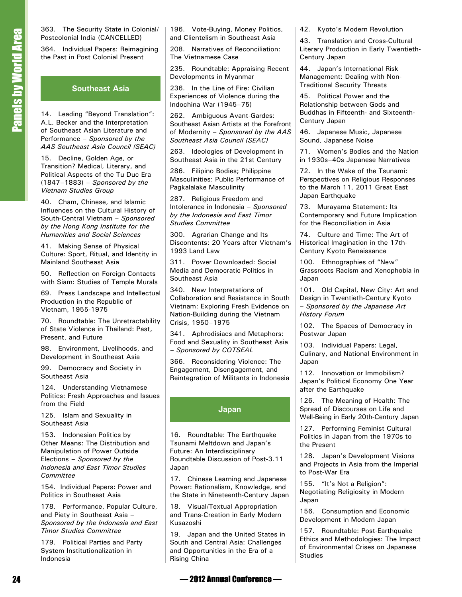363. The Security State in Colonial/ Postcolonial India (CANCELLED)

364. Individual Papers: Reimagining the Past in Post Colonial Present

## **Southeast Asia**

14. Leading "Beyond Translation": A.L. Becker and the Interpretation of Southeast Asian Literature and Performance – *Sponsored by the AAS Southeast Asia Council (SEAC)*

15. Decline, Golden Age, or Transition? Medical, Literary, and Political Aspects of the Tu Duc Era (1847–1883) – *Sponsored by the Vietnam Studies Group*

40. Cham, Chinese, and Islamic Influences on the Cultural History of South-Central Vietnam – *Sponsored by the Hong Kong Institute for the Humanities and Social Sciences*

41. Making Sense of Physical Culture: Sport, Ritual, and Identity in Mainland Southeast Asia

50. Reflection on Foreign Contacts with Siam: Studies of Temple Murals

69. Press Landscape and Intellectual Production in the Republic of Vietnam, 1955-1975

70. Roundtable: The Unretractability of State Violence in Thailand: Past, Present, and Future

98. Environment, Livelihoods, and Development in Southeast Asia

99. Democracy and Society in Southeast Asia

124. Understanding Vietnamese Politics: Fresh Approaches and Issues from the Field

125. Islam and Sexuality in Southeast Asia

153. Indonesian Politics by Other Means: The Distribution and Manipulation of Power Outside Elections – *Sponsored by the Indonesia and East Timor Studies Committee*

154. Individual Papers: Power and Politics in Southeast Asia

178. Performance, Popular Culture, and Piety in Southeast Asia – *Sponsored by the Indonesia and East Timor Studies Committee*

179. Political Parties and Party System Institutionalization in Indonesia

196. Vote-Buying, Money Politics, and Clientelism in Southeast Asia

208. Narratives of Reconciliation: The Vietnamese Case

235. Roundtable: Appraising Recent Developments in Myanmar

236. In the Line of Fire: Civilian Experiences of Violence during the Indochina War (1945–75)

262. Ambiguous Avant-Gardes: Southeast Asian Artists at the Forefront of Modernity – *Sponsored by the AAS Southeast Asia Council (SEAC)*

263. Ideologies of Development in Southeast Asia in the 21st Century

286. Filipino Bodies; Philippine Masculinities: Public Performance of Pagkalalake Masculinity

287. Religious Freedom and Intolerance in Indonesia – *Sponsored by the Indonesia and East Timor Studies Committee*

300. Agrarian Change and Its Discontents: 20 Years after Vietnam's 1993 Land Law

311. Power Downloaded: Social Media and Democratic Politics in Southeast Asia

340. New Interpretations of Collaboration and Resistance in South Vietnam: Exploring Fresh Evidence on Nation-Building during the Vietnam Crisis, 1950–1975

341. Aphrodisiacs and Metaphors: Food and Sexuality in Southeast Asia – *Sponsored by COTSEAL*

366. Reconsidering Violence: The Engagement, Disengagement, and Reintegration of Militants in Indonesia

### **Japan**

16. Roundtable: The Earthquake Tsunami Meltdown and Japan's Future: An Interdisciplinary Roundtable Discussion of Post-3.11 Japan

17. Chinese Learning and Japanese Power: Rationalism, Knowledge, and the State in Nineteenth-Century Japan

18. Visual/Textual Appropriation and Trans-Creation in Early Modern Kusazoshi

19. Japan and the United States in South and Central Asia: Challenges and Opportunities in the Era of a Rising China

42. Kyoto's Modern Revolution

43. Translation and Cross-Cultural Literary Production in Early Twentieth-Century Japan

44. Japan's International Risk Management: Dealing with Non-Traditional Security Threats

45. Political Power and the Relationship between Gods and Buddhas in Fifteenth- and Sixteenth-Century Japan

46. Japanese Music, Japanese Sound, Japanese Noise

71. Women's Bodies and the Nation in 1930s–40s Japanese Narratives

72. In the Wake of the Tsunami: Perspectives on Religious Responses to the March 11, 2011 Great East Japan Earthquake

73. Murayama Statement: Its Contemporary and Future Implication for the Reconciliation in Asia

74. Culture and Time: The Art of Historical Imagination in the 17th-Century Kyoto Renaissance

100. Ethnographies of "New" Grassroots Racism and Xenophobia in Japan

101. Old Capital, New City: Art and Design in Twentieth-Century Kyoto – *Sponsored by the Japanese Art History Forum*

102. The Spaces of Democracy in Postwar Japan

103. Individual Papers: Legal, Culinary, and National Environment in Japan

112. Innovation or Immobilism? Japan's Political Economy One Year after the Earthquake

126. The Meaning of Health: The Spread of Discourses on Life and Well-Being in Early 20th-Century Japan

127. Performing Feminist Cultural Politics in Japan from the 1970s to the Present

128. Japan's Development Visions and Projects in Asia from the Imperial to Post-War Era

155. "It's Not a Religion": Negotiating Religiosity in Modern Japan

156. Consumption and Economic Development in Modern Japan

157. Roundtable: Post-Earthquake Ethics and Methodologies: The Impact of Environmental Crises on Japanese Studies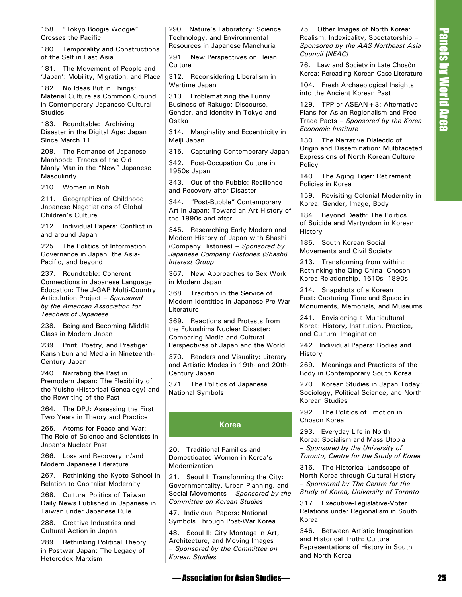158. "Tokyo Boogie Woogie" Crosses the Pacific

180. Temporality and Constructions of the Self in East Asia

181. The Movement of People and 'Japan': Mobility, Migration, and Place

182. No Ideas But in Things: Material Culture as Common Ground in Contemporary Japanese Cultural Studies

183. Roundtable: Archiving Disaster in the Digital Age: Japan Since March 11

209. The Romance of Japanese Manhood: Traces of the Old Manly Man in the "New" Japanese Masculinity

210. Women in Noh

211. Geographies of Childhood: Japanese Negotiations of Global Children's Culture

212. Individual Papers: Conflict in and around Japan

225. The Politics of Information Governance in Japan, the Asia-Pacific, and beyond

237. Roundtable: Coherent Connections in Japanese Language Education: The J-GAP Multi-Country Articulation Project – *Sponsored by the American Association for Teachers of Japanese*

238. Being and Becoming Middle Class in Modern Japan

239. Print, Poetry, and Prestige: Kanshibun and Media in Nineteenth-Century Japan

240. Narrating the Past in Premodern Japan: The Flexibility of the Yuisho (Historical Genealogy) and the Rewriting of the Past

264. The DPJ: Assessing the First Two Years in Theory and Practice

265. Atoms for Peace and War: The Role of Science and Scientists in Japan's Nuclear Past

266. Loss and Recovery in/and Modern Japanese Literature

267. Rethinking the Kyoto School in Relation to Capitalist Modernity

268. Cultural Politics of Taiwan Daily News Published in Japanese in Taiwan under Japanese Rule

288. Creative Industries and Cultural Action in Japan

289. Rethinking Political Theory in Postwar Japan: The Legacy of Heterodox Marxism

290. Nature's Laboratory: Science, Technology, and Environmental Resources in Japanese Manchuria

291. New Perspectives on Heian **Culture** 

312. Reconsidering Liberalism in Wartime Japan

313. Problematizing the Funny Business of Rakugo: Discourse, Gender, and Identity in Tokyo and Osaka

314. Marginality and Eccentricity in Meiji Japan

315. Capturing Contemporary Japan

342. Post-Occupation Culture in 1950s Japan

343. Out of the Rubble: Resilience and Recovery after Disaster

344. "Post-Bubble" Contemporary Art in Japan: Toward an Art History of the 1990s and after

30. Shurrer states and the second the second of Area Control of Area Control of Area Control of Area Control of Area Control of Area Control of Area Control of Area Control of Area Control of Area Control of Area Control 345. Researching Early Modern and Modern History of Japan with Shashi (Company Histories) – *Sponsored by Japanese Company Histories (Shashi) Interest Group*

367. New Approaches to Sex Work in Modern Japan

368. Tradition in the Service of Modern Identities in Japanese Pre-War Literature

369. Reactions and Protests from the Fukushima Nuclear Disaster: Comparing Media and Cultural Perspectives of Japan and the World

370. Readers and Visuality: Literary and Artistic Modes in 19th- and 20th-Century Japan

371. The Politics of Japanese National Symbols

### **Korea**

20. Traditional Families and Domesticated Women in Korea's Modernization

21. Seoul I: Transforming the City: Governmentality, Urban Planning, and Social Movements – *Sponsored by the Committee on Korean Studies*

47. Individual Papers: National Symbols Through Post-War Korea

48. Seoul II: City Montage in Art, Architecture, and Moving Images – *Sponsored by the Committee on Korean Studies*

75. Other Images of North Korea: Realism, Indexicality, Spectatorship – *Sponsored by the AAS Northeast Asia Council (NEAC)*

76. Law and Society in Late Chosôn Korea: Rereading Korean Case Literature

104. Fresh Archaeological Insights into the Ancient Korean Past

129. TPP or ASEAN+3: Alternative Plans for Asian Regionalism and Free Trade Pacts – *Sponsored by the Korea Economic Institute*

130. The Narrative Dialectic of Origin and Dissemination: Multifaceted Expressions of North Korean Culture Policy

140. The Aging Tiger: Retirement Policies in Korea

159. Revisiting Colonial Modernity in Korea: Gender, Image, Body

184. Beyond Death: The Politics of Suicide and Martyrdom in Korean History

185. South Korean Social Movements and Civil Society

213. Transforming from within: Rethinking the Qing China–Choson Korea Relationship, 1610s–1890s

214. Snapshots of a Korean Past: Capturing Time and Space in Monuments, Memorials, and Museums

241. Envisioning a Multicultural Korea: History, Institution, Practice, and Cultural Imagination

242. Individual Papers: Bodies and History

269. Meanings and Practices of the Body in Contemporary South Korea

270. Korean Studies in Japan Today: Sociology, Political Science, and North Korean Studies

292. The Politics of Emotion in Choson Korea

293. Everyday Life in North Korea: Socialism and Mass Utopia – *Sponsored by the University of Toronto, Centre for the Study of Korea*

316. The Historical Landscape of North Korea through Cultural History – *Sponsored by The Centre for the Study of Korea, University of Toronto*

317. Executive-Legislative-Voter Relations under Regionalism in South Korea

346. Between Artistic Imagination and Historical Truth: Cultural Representations of History in South and North Korea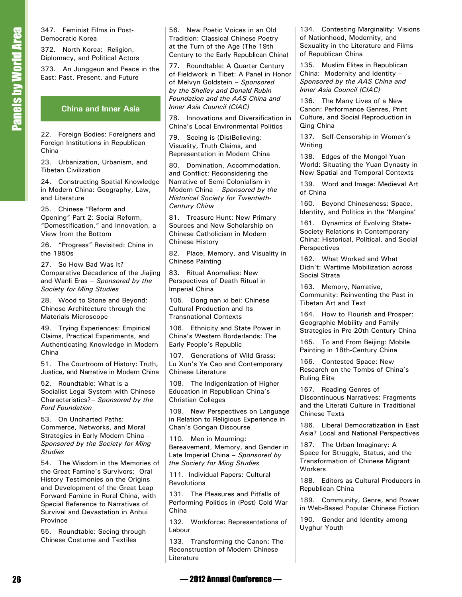347. Feminist Films in Post-Democratic Korea

372. North Korea: Religion, Diplomacy, and Political Actors

373. An Junggeun and Peace in the East: Past, Present, and Future

#### **China and Inner Asia**

22. Foreign Bodies: Foreigners and Foreign Institutions in Republican China

23. Urbanization, Urbanism, and Tibetan Civilization

24. Constructing Spatial Knowledge in Modern China: Geography, Law, and Literature

25. Chinese "Reform and Opening" Part 2: Social Reform, "Domestification," and Innovation, a View from the Bottom

26. "Progress" Revisited: China in the 1950s

27. So How Bad Was It? Comparative Decadence of the Jiajing and Wanli Eras – *Sponsored by the Society for Ming Studies*

28. Wood to Stone and Beyond: Chinese Architecture through the Materials Microscope

49. Trying Experiences: Empirical Claims, Practical Experiments, and Authenticating Knowledge in Modern China

51. The Courtroom of History: Truth, Justice, and Narrative in Modern China

52. Roundtable: What is a Socialist Legal System with Chinese Characteristics?– *Sponsored by the Ford Foundation*

53. On Uncharted Paths: Commerce, Networks, and Moral Strategies in Early Modern China – *Sponsored by the Society for Ming Studies*

34 Literation Hims Peach Mannum Man Peach Vistoria in Sole in the Mannum Man Peach Mannum Man Peach Man Peach Man Peach Man Peach Man Peach Man Peach Man Peach Man Peach Man Peach Man Peach Man Peach Man Peach Man Peach M 54. The Wisdom in the Memories of the Great Famine's Survivors: Oral History Testimonies on the Origins and Development of the Great Leap Forward Famine in Rural China, with Special Reference to Narratives of Survival and Devastation in Anhui Province

55. Roundtable: Seeing through Chinese Costume and Textiles

56. New Poetic Voices in an Old Tradition: Classical Chinese Poetry at the Turn of the Age (The 19th Century to the Early Republican China)

77. Roundtable: A Quarter Century of Fieldwork in Tibet: A Panel in Honor of Melvyn Goldstein – *Sponsored by the Shelley and Donald Rubin Foundation and the AAS China and Inner Asia Council (CIAC)*

78. Innovations and Diversification in China's Local Environmental Politics

79. Seeing is (Dis)Believing: Visuality, Truth Claims, and Representation in Modern China

80. Domination, Accommodation, and Conflict: Reconsidering the Narrative of Semi-Colonialism in Modern China – *Sponsored by the Historical Society for Twentieth-Century China*

81. Treasure Hunt: New Primary Sources and New Scholarship on Chinese Catholicism in Modern Chinese History

82. Place, Memory, and Visuality in Chinese Painting

83. Ritual Anomalies: New Perspectives of Death Ritual in Imperial China

105. Dong nan xi bei: Chinese Cultural Production and Its Transnational Contexts

106. Ethnicity and State Power in China's Western Borderlands: The Early People's Republic

107. Generations of Wild Grass: Lu Xun's Ye Cao and Contemporary Chinese Literature

108. The Indigenization of Higher Education in Republican China's Christian Colleges

109. New Perspectives on Language in Relation to Religious Experience in Chan's Gongan Discourse

110. Men in Mourning: Bereavement, Memory, and Gender in Late Imperial China – *Sponsored by the Society for Ming Studies*

111. Individual Papers: Cultural Revolutions

131. The Pleasures and Pitfalls of Performing Politics in (Post) Cold War China

132. Workforce: Representations of Labour

133. Transforming the Canon: The Reconstruction of Modern Chinese Literature

134. Contesting Marginality: Visions of Nationhood, Modernity, and Sexuality in the Literature and Films of Republican China

135. Muslim Elites in Republican China: Modernity and Identity – *Sponsored by the AAS China and Inner Asia Council (CIAC)*

136. The Many Lives of a New Canon: Performance Genres, Print Culture, and Social Reproduction in Qing China

137. Self-Censorship in Women's Writing

138. Edges of the Mongol-Yuan World: Situating the Yuan Dynasty in New Spatial and Temporal Contexts

139. Word and Image: Medieval Art of China

160. Beyond Chineseness: Space, Identity, and Politics in the 'Margins'

161. Dynamics of Evolving State-Society Relations in Contemporary China: Historical, Political, and Social **Perspectives** 

162. What Worked and What Didn't: Wartime Mobilization across Social Strata

163. Memory, Narrative, Community: Reinventing the Past in Tibetan Art and Text

164. How to Flourish and Prosper: Geographic Mobility and Family Strategies in Pre-20th Century China

165. To and From Beijing: Mobile Painting in 18th-Century China

166. Contested Space: New Research on the Tombs of China's Ruling Elite

167. Reading Genres of Discontinuous Narratives: Fragments and the Literati Culture in Traditional Chinese Texts

186. Liberal Democratization in East Asia? Local and National Perspectives

187. The Urban Imaginary: A Space for Struggle, Status, and the Transformation of Chinese Migrant Workers

188. Editors as Cultural Producers in Republican China

189. Community, Genre, and Power in Web-Based Popular Chinese Fiction

190. Gender and Identity among Uyghur Youth